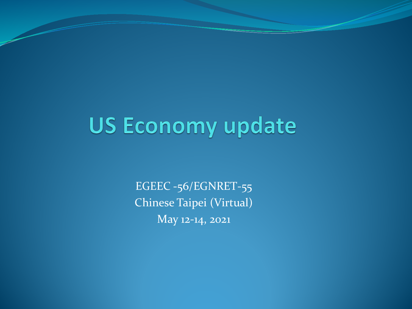## **US Economy update**

EGEEC -56/EGNRET-55 Chinese Taipei (Virtual) May 12-14, 2021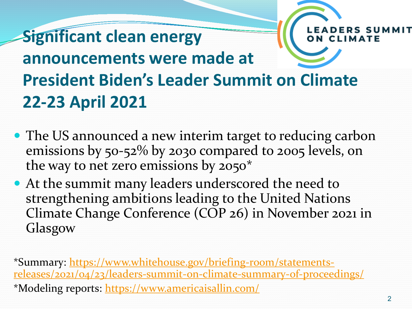

- The US announced a new interim target to reducing carbon emissions by 50-52% by 2030 compared to 2005 levels, on the way to net zero emissions by 2050\*
- At the summit many leaders underscored the need to strengthening ambitions leading to the United Nations Climate Change Conference (COP 26) in November 2021 in Glasgow

\*Summary: https://www.whitehouse.gov/briefing-room/statements[releases/2021/04/23/leaders-summit-on-climate-summary-of-proceedings/](https://www.whitehouse.gov/briefing-room/statements-releases/2021/04/23/leaders-summit-on-climate-summary-of-proceedings/) \*Modeling reports:<https://www.americaisallin.com/>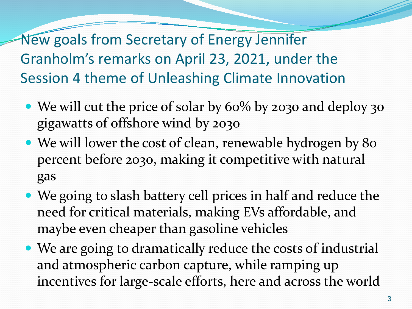New goals from Secretary of Energy Jennifer Granholm's remarks on April 23, 2021, under the Session 4 theme of Unleashing Climate Innovation

- We will cut the price of solar by 60% by 2030 and deploy 30 gigawatts of offshore wind by 2030
- We will lower the cost of clean, renewable hydrogen by 80 percent before 2030, making it competitive with natural gas
- We going to slash battery cell prices in half and reduce the need for critical materials, making EVs affordable, and maybe even cheaper than gasoline vehicles
- We are going to dramatically reduce the costs of industrial and atmospheric carbon capture, while ramping up incentives for large-scale efforts, here and across the world